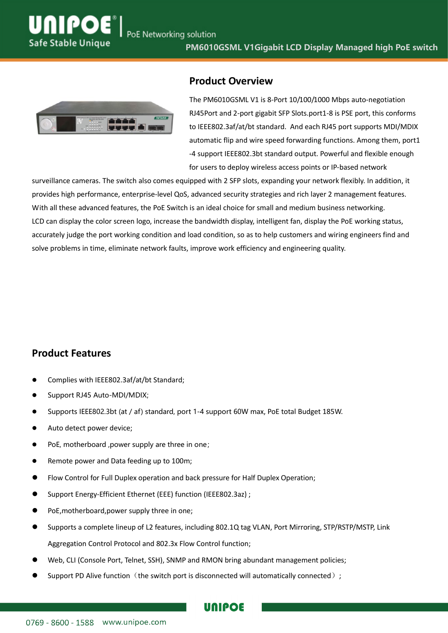

#### **Product Overview**

The PM6010GSML V1 is 8-Port 10/100/1000 Mbps auto-negotiation RJ45Port and 2-port gigabit SFP Slots.port1-8 is PSE port, this conforms to IEEE802.3af/at/bt standard. And each RJ45 port supports MDI/MDIX automatic flip and wire speed forwarding functions. Among them, port1 -4 support IEEE802.3bt standard output. Powerful and flexible enough for users to deploy wireless access points or IP-based network

surveillance cameras. The switch also comes equipped with 2 SFP slots, expanding your network flexibly. In addition, it provides high performance, enterprise-level QoS, advanced security strategies and rich layer 2 management features. With all these advanced features, the PoE Switch is an ideal choice for small and medium business networking. LCD can display the color screen logo, increase the bandwidth display, intelligent fan, display the PoE working status, accurately judge the port working condition and load condition, so as to help customers and wiring engineers find and solve problems in time, eliminate network faults, improve work efficiency and engineering quality.

### **Product Features**

- Complies with IEEE802.3af/at/bt Standard;
- **Support RJ45 Auto-MDI/MDIX;**
- Supports IEEE802.3bt (at / af) standard, port 1-4 support 60W max, PoE total Budget 185W.
- Auto detect power device;
- PoE, motherboard ,power supply are three in one;
- **•** Remote power and Data feeding up to 100m;
- Flow Control for Full Duplex operation and back pressure for Half Duplex Operation;
- Support Energy-Efficient Ethernet (EEE) function (IEEE802.3az) ;
- PoE,motherboard,power supply three in one;
- Supports a complete lineup of L2 features, including 802.1Q tag VLAN, Port Mirroring, STP/RSTP/MSTP, Link Aggregation Control Protocol and 802.3x Flow Control function;

UNIPOE

- Web, CLI (Console Port, Telnet, SSH), SNMP and RMON bring abundant management policies;
- Support PD Alive function (the switch port is disconnected will automatically connected);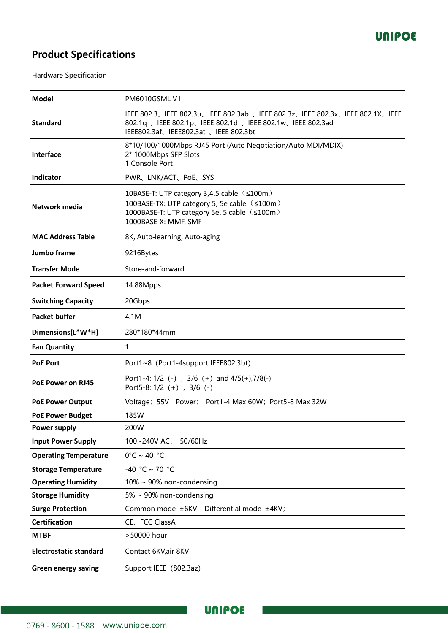

## **Product Specifications**

Hardware Specification

| <b>Model</b>                  | <b>PM6010GSMLV1</b>                                                                                                                                                                 |  |
|-------------------------------|-------------------------------------------------------------------------------------------------------------------------------------------------------------------------------------|--|
| <b>Standard</b>               | IEEE 802.3、IEEE 802.3u、IEEE 802.3ab 、IEEE 802.3z、IEEE 802.3x、IEEE 802.1X、IEEE<br>802.1q 、IEEE 802.1p、IEEE 802.1d 、IEEE 802.1w、IEEE 802.3ad<br>IEEE802.3af、IEEE802.3at 、IEEE 802.3bt |  |
| Interface                     | 8*10/100/1000Mbps RJ45 Port (Auto Negotiation/Auto MDI/MDIX)<br>2* 1000Mbps SFP Slots<br>1 Console Port                                                                             |  |
| Indicator                     | PWR、LNK/ACT、PoE、SYS                                                                                                                                                                 |  |
| Network media                 | 10BASE-T: UTP category 3,4,5 cable (≤100m)<br>100BASE-TX: UTP category 5, 5e cable (≤100m)<br>1000BASE-T: UTP category 5e, 5 cable ( ≤100m)<br>1000BASE-X: MMF, SMF                 |  |
| <b>MAC Address Table</b>      | 8K, Auto-learning, Auto-aging                                                                                                                                                       |  |
| Jumbo frame                   | 9216Bytes                                                                                                                                                                           |  |
| <b>Transfer Mode</b>          | Store-and-forward                                                                                                                                                                   |  |
| <b>Packet Forward Speed</b>   | 14.88Mpps                                                                                                                                                                           |  |
| <b>Switching Capacity</b>     | 20Gbps                                                                                                                                                                              |  |
| <b>Packet buffer</b>          | 4.1M                                                                                                                                                                                |  |
| Dimensions(L*W*H)             | 280*180*44mm                                                                                                                                                                        |  |
| <b>Fan Quantity</b>           | 1                                                                                                                                                                                   |  |
| <b>PoE Port</b>               | Port1~8 (Port1-4support IEEE802.3bt)                                                                                                                                                |  |
| PoE Power on RJ45             | Port1-4: $1/2$ (-), $3/6$ (+) and $4/5(+)$ , $7/8(-)$<br>Port5-8: 1/2 (+), 3/6 (-)                                                                                                  |  |
| <b>PoE Power Output</b>       | Voltage: 55V Power: Port1-4 Max 60W; Port5-8 Max 32W                                                                                                                                |  |
| <b>PoE Power Budget</b>       | 185W                                                                                                                                                                                |  |
| <b>Power supply</b>           | 200W                                                                                                                                                                                |  |
| <b>Input Power Supply</b>     | 100~240V AC, 50/60Hz                                                                                                                                                                |  |
| <b>Operating Temperature</b>  | $0^{\circ}$ C ~ 40 $^{\circ}$ C                                                                                                                                                     |  |
| <b>Storage Temperature</b>    | -40 °C ~ 70 °C                                                                                                                                                                      |  |
| <b>Operating Humidity</b>     | $10\% \sim 90\%$ non-condensing                                                                                                                                                     |  |
| <b>Storage Humidity</b>       | 5% ~ 90% non-condensing                                                                                                                                                             |  |
| <b>Surge Protection</b>       | Common mode ±6KV Differential mode ±4KV;                                                                                                                                            |  |
| <b>Certification</b>          | CE、FCC ClassA                                                                                                                                                                       |  |
| <b>MTBF</b>                   | >50000 hour                                                                                                                                                                         |  |
| <b>Electrostatic standard</b> | Contact 6KV, air 8KV                                                                                                                                                                |  |
| <b>Green energy saving</b>    | Support IEEE (802.3az)                                                                                                                                                              |  |

m.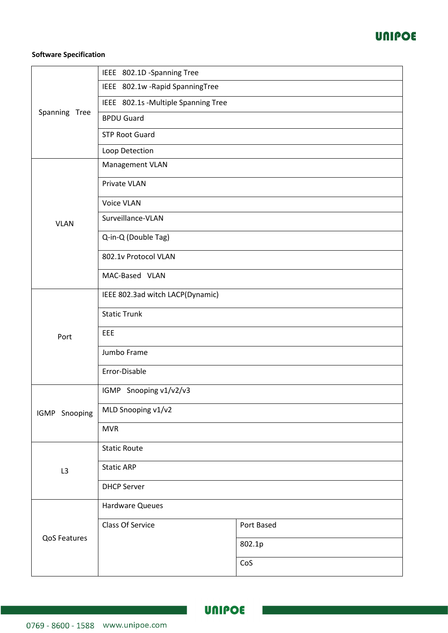

#### **Software Specification**

|               | IEEE 802.1D -Spanning Tree          |            |  |
|---------------|-------------------------------------|------------|--|
| Spanning Tree | IEEE 802.1w - Rapid Spanning Tree   |            |  |
|               | IEEE 802.1s -Multiple Spanning Tree |            |  |
|               | <b>BPDU Guard</b>                   |            |  |
|               | <b>STP Root Guard</b>               |            |  |
|               | Loop Detection                      |            |  |
|               | Management VLAN                     |            |  |
|               | Private VLAN                        |            |  |
|               | Voice VLAN                          |            |  |
| <b>VLAN</b>   | Surveillance-VLAN                   |            |  |
|               | Q-in-Q (Double Tag)                 |            |  |
|               | 802.1v Protocol VLAN                |            |  |
|               | MAC-Based VLAN                      |            |  |
|               | IEEE 802.3ad witch LACP(Dynamic)    |            |  |
|               | <b>Static Trunk</b>                 |            |  |
| Port          | EEE                                 |            |  |
|               | Jumbo Frame                         |            |  |
|               | Error-Disable                       |            |  |
|               | IGMP Snooping v1/v2/v3              |            |  |
| IGMP Snooping | MLD Snooping v1/v2                  |            |  |
|               | <b>MVR</b>                          |            |  |
|               | <b>Static Route</b>                 |            |  |
| L3            | <b>Static ARP</b>                   |            |  |
|               | <b>DHCP Server</b>                  |            |  |
|               | Hardware Queues                     |            |  |
| QoS Features  | Class Of Service                    | Port Based |  |
|               |                                     | 802.1p     |  |
|               |                                     | CoS        |  |

and the state of the state of the state of the state of the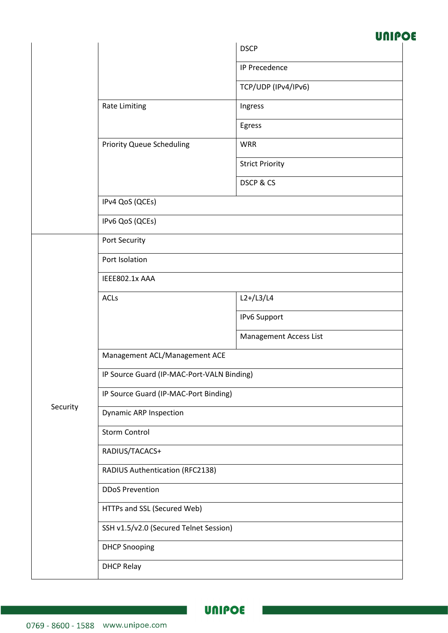# **UNIPOE**

|          |                                            | <b>DSCP</b>            |  |
|----------|--------------------------------------------|------------------------|--|
|          |                                            | <b>IP Precedence</b>   |  |
|          |                                            | TCP/UDP (IPv4/IPv6)    |  |
|          | <b>Rate Limiting</b>                       | Ingress                |  |
|          |                                            | Egress                 |  |
|          | <b>Priority Queue Scheduling</b>           | <b>WRR</b>             |  |
|          |                                            | <b>Strict Priority</b> |  |
|          |                                            | DSCP & CS              |  |
|          | IPv4 QoS (QCEs)                            |                        |  |
|          | IPv6 QoS (QCEs)                            |                        |  |
|          | Port Security                              |                        |  |
|          | Port Isolation                             |                        |  |
|          | IEEE802.1x AAA                             |                        |  |
|          | <b>ACLs</b>                                | $L2+/L3/L4$            |  |
|          |                                            | IPv6 Support           |  |
|          |                                            | Management Access List |  |
|          | Management ACL/Management ACE              |                        |  |
|          | IP Source Guard (IP-MAC-Port-VALN Binding) |                        |  |
|          | IP Source Guard (IP-MAC-Port Binding)      |                        |  |
| Security | <b>Dynamic ARP Inspection</b>              |                        |  |
|          | <b>Storm Control</b>                       |                        |  |
|          | RADIUS/TACACS+                             |                        |  |
|          | RADIUS Authentication (RFC2138)            |                        |  |
|          | <b>DDoS Prevention</b>                     |                        |  |
|          | HTTPs and SSL (Secured Web)                |                        |  |
|          | SSH v1.5/v2.0 (Secured Telnet Session)     |                        |  |
|          | <b>DHCP Snooping</b>                       |                        |  |
|          | <b>DHCP Relay</b>                          |                        |  |

 $\sim$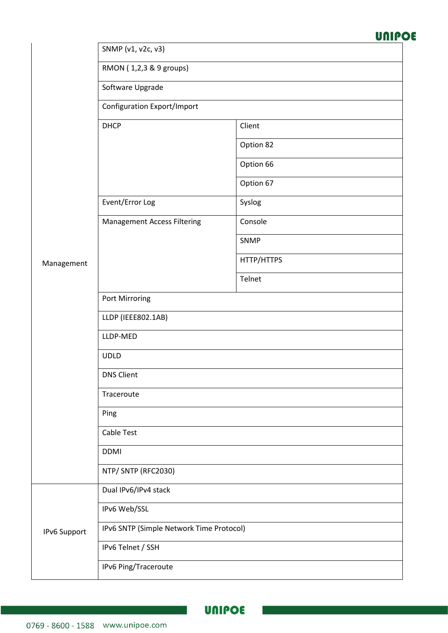## **UNIPOE**

|  | SNMP (v1, v2c, v3) |  |  |  |
|--|--------------------|--|--|--|
|--|--------------------|--|--|--|

RMON ( 1,2,3 & 9 groups)

Software Upgrade

Configuration Export/Import

|              | <b>DHCP</b>                              | Client     |
|--------------|------------------------------------------|------------|
|              |                                          | Option 82  |
|              |                                          | Option 66  |
|              |                                          | Option 67  |
|              | Event/Error Log                          | Syslog     |
|              | <b>Management Access Filtering</b>       | Console    |
|              |                                          | SNMP       |
| Management   |                                          | HTTP/HTTPS |
|              |                                          | Telnet     |
|              | Port Mirroring                           |            |
|              | LLDP (IEEE802.1AB)                       |            |
|              | LLDP-MED                                 |            |
|              | <b>UDLD</b>                              |            |
|              | <b>DNS Client</b>                        |            |
|              | Traceroute                               |            |
|              | Ping                                     |            |
|              | Cable Test                               |            |
|              | <b>DDMI</b>                              |            |
|              | NTP/ SNTP (RFC2030)                      |            |
|              | Dual IPv6/IPv4 stack                     |            |
|              | IPv6 Web/SSL                             |            |
| IPv6 Support | IPv6 SNTP (Simple Network Time Protocol) |            |
|              | IPv6 Telnet / SSH                        |            |
|              | IPv6 Ping/Traceroute                     |            |

a a b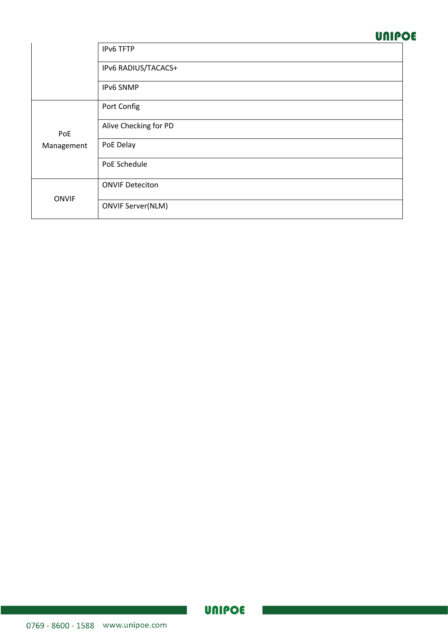### **UNIPOE**

|              | IPv6 TFTP                |
|--------------|--------------------------|
|              | IPv6 RADIUS/TACACS+      |
|              | <b>IPv6 SNMP</b>         |
|              | Port Config              |
| PoE          | Alive Checking for PD    |
| Management   | PoE Delay                |
|              | PoE Schedule             |
|              | <b>ONVIF Deteciton</b>   |
| <b>ONVIF</b> | <b>ONVIF Server(NLM)</b> |

 $\sim$